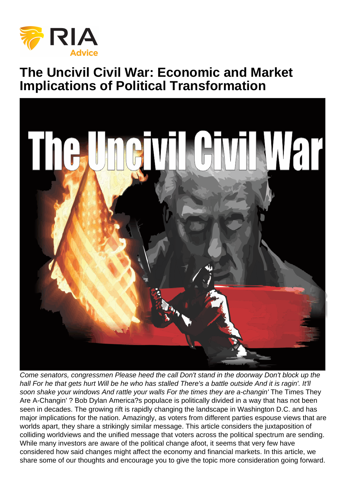## The Uncivil Civil War: Economic and Market Implications of Political Transformation

Come senators, congressmen Please heed the call Don't stand in the doorway Don't block up the hall For he that gets hurt Will be he who has stalled There's a battle outside And it is ragin'. It'll soon shake your windows And rattle your walls For the times they are a-changin' The Times They Are A-Changin' ? Bob Dylan America?s populace is politically divided in a way that has not been seen in decades. The growing rift is rapidly changing the landscape in Washington D.C. and has major implications for the nation. Amazingly, as voters from different parties espouse views that are worlds apart, they share a strikingly similar message. This article considers the juxtaposition of colliding worldviews and the unified message that voters across the political spectrum are sending. While many investors are aware of the political change afoot, it seems that very few have considered how said changes might affect the economy and financial markets. In this article, we share some of our thoughts and encourage you to give the topic more consideration going forward.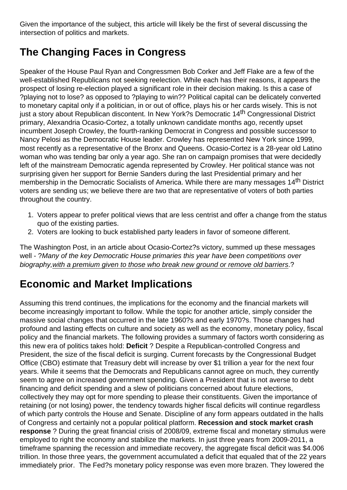Given the importance of the subject, this article will likely be the first of several discussing the intersection of politics and markets.

## **The Changing Faces in Congress**

Speaker of the House Paul Ryan and Congressmen Bob Corker and Jeff Flake are a few of the well-established Republicans not seeking reelection. While each has their reasons, it appears the prospect of losing re-election played a significant role in their decision making. Is this a case of ?playing not to lose? as opposed to ?playing to win?? Political capital can be delicately converted to monetary capital only if a politician, in or out of office, plays his or her cards wisely. This is not just a story about Republican discontent. In New York?s Democratic 14<sup>th</sup> Congressional District primary, Alexandria Ocasio-Cortez, a totally unknown candidate months ago, recently upset incumbent Joseph Crowley, the fourth-ranking Democrat in Congress and possible successor to Nancy Pelosi as the Democratic House leader. Crowley has represented New York since 1999, most recently as a representative of the Bronx and Queens. Ocasio-Cortez is a 28-year old Latino woman who was tending bar only a year ago. She ran on campaign promises that were decidedly left of the mainstream Democratic agenda represented by Crowley. Her political stance was not surprising given her support for Bernie Sanders during the last Presidential primary and her membership in the Democratic Socialists of America. While there are many messages 14<sup>th</sup> District voters are sending us; we believe there are two that are representative of voters of both parties throughout the country.

- 1. Voters appear to prefer political views that are less centrist and offer a change from the status quo of the existing parties.
- 2. Voters are looking to buck established party leaders in favor of someone different.

The Washington Post, in an article about Ocasio-Cortez?s victory, summed up these messages well - ? Many of the key Democratic House primaries this year have been competitions over biography,with a premium given to those who break new ground or remove old barriers.?

## **Economic and Market Implications**

Assuming this trend continues, the implications for the economy and the financial markets will become increasingly important to follow. While the topic for another article, simply consider the massive social changes that occurred in the late 1960?s and early 1970?s. Those changes had profound and lasting effects on culture and society as well as the economy, monetary policy, fiscal policy and the financial markets. The following provides a summary of factors worth considering as this new era of politics takes hold: **Deficit** ? Despite a Republican-controlled Congress and President, the size of the fiscal deficit is surging. Current forecasts by the Congressional Budget Office (CBO) estimate that Treasury debt will increase by over \$1 trillion a year for the next four years. While it seems that the Democrats and Republicans cannot agree on much, they currently seem to agree on increased government spending. Given a President that is not averse to debt financing and deficit spending and a slew of politicians concerned about future elections, collectively they may opt for more spending to please their constituents. Given the importance of retaining (or not losing) power, the tendency towards higher fiscal deficits will continue regardless of which party controls the House and Senate. Discipline of any form appears outdated in the halls of Congress and certainly not a popular political platform. **Recession and stock market crash response** ? During the great financial crisis of 2008/09, extreme fiscal and monetary stimulus were employed to right the economy and stabilize the markets. In just three years from 2009-2011, a timeframe spanning the recession and immediate recovery, the aggregate fiscal deficit was \$4.006 trillion. In those three years, the government accumulated a deficit that equaled that of the 22 years immediately prior. The Fed?s monetary policy response was even more brazen. They lowered the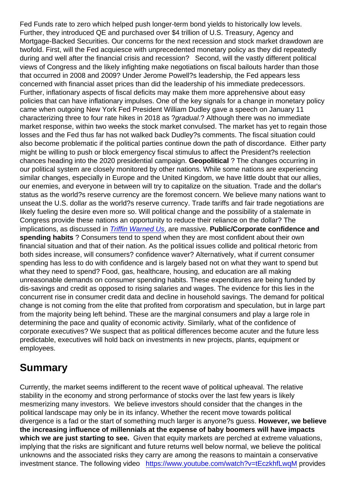Fed Funds rate to zero which helped push longer-term bond yields to historically low levels. Further, they introduced QE and purchased over \$4 trillion of U.S. Treasury, Agency and Mortgage-Backed Securities. Our concerns for the next recession and stock market drawdown are twofold. First, will the Fed acquiesce with unprecedented monetary policy as they did repeatedly during and well after the financial crisis and recession? Second, will the vastly different political views of Congress and the likely infighting make negotiations on fiscal bailouts harder than those that occurred in 2008 and 2009? Under Jerome Powell?s leadership, the Fed appears less concerned with financial asset prices than did the leadership of his immediate predecessors. Further, inflationary aspects of fiscal deficits may make them more apprehensive about easy policies that can have inflationary impulses. One of the key signals for a change in monetary policy came when outgoing New York Fed President William Dudley gave a speech on January 11 characterizing three to four rate hikes in 2018 as ?gradual.? Although there was no immediate market response, within two weeks the stock market convulsed. The market has yet to regain those losses and the Fed thus far has not walked back Dudley?s comments. The fiscal situation could also become problematic if the political parties continue down the path of discordance. Either party might be willing to push or block emergency fiscal stimulus to affect the President?s reelection chances heading into the 2020 presidential campaign. Geopolitical ? The changes occurring in our political system are closely monitored by other nations. While some nations are experiencing similar changes, especially in Europe and the United Kingdom, we have little doubt that our allies, our enemies, and everyone in between will try to capitalize on the situation. Trade and the dollar's status as the world?s reserve currency are the foremost concern. We believe many nations want to unseat the U.S. dollar as the world?s reserve currency. Trade tariffs and fair trade negotiations are likely fueling the desire even more so. Will political change and the possibility of a stalemate in Congress provide these nations an opportunity to reduce their reliance on the dollar? The implications, as discussed in [Triffin Warned Us](https://realinvestmentadvice.com/triffin-warned-us/), are massive. Public/Corporate confidence and spending habits ? Consumers tend to spend when they are most confident about their own financial situation and that of their nation. As the political issues collide and political rhetoric from both sides increase, will consumers? confidence waver? Alternatively, what if current consumer spending has less to do with confidence and is largely based not on what they want to spend but what they need to spend? Food, gas, healthcare, housing, and education are all making unreasonable demands on consumer spending habits. These expenditures are being funded by dis-savings and credit as opposed to rising salaries and wages. The evidence for this lies in the concurrent rise in consumer credit data and decline in household savings. The demand for political change is not coming from the elite that profited from corporatism and speculation, but in large part from the majority being left behind. These are the marginal consumers and play a large role in determining the pace and quality of economic activity. Similarly, what of the confidence of corporate executives? We suspect that as political differences become acuter and the future less predictable, executives will hold back on investments in new projects, plants, equipment or employees.

## Summary

Currently, the market seems indifferent to the recent wave of political upheaval. The relative stability in the economy and strong performance of stocks over the last few years is likely mesmerizing many investors. We believe investors should consider that the changes in the political landscape may only be in its infancy. Whether the recent move towards political divergence is a fad or the start of something much larger is anyone?s guess. However, we believe the increasing influence of millennials at the expense of baby boomers will have impacts which we are just starting to see. Given that equity markets are perched at extreme valuations, implying that the risks are significant and future returns well below normal, we believe the political unknowns and the associated risks they carry are among the reasons to maintain a conservative investment stance. The following video <https://www.youtube.com/watch?v=tEczkhfLwqM>provides